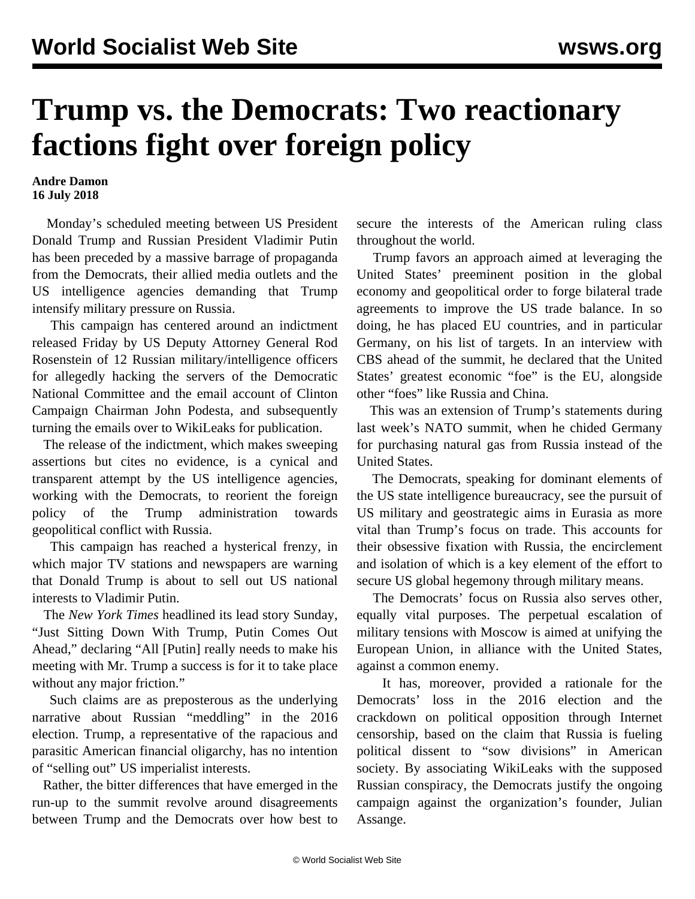## **Trump vs. the Democrats: Two reactionary factions fight over foreign policy**

**Andre Damon 16 July 2018**

 Monday's scheduled meeting between US President Donald Trump and Russian President Vladimir Putin has been preceded by a massive barrage of propaganda from the Democrats, their allied media outlets and the US intelligence agencies demanding that Trump intensify military pressure on Russia.

 This campaign has centered around an indictment released Friday by US Deputy Attorney General Rod Rosenstein of 12 Russian military/intelligence officers for allegedly hacking the servers of the Democratic National Committee and the email account of Clinton Campaign Chairman John Podesta, and subsequently turning the emails over to WikiLeaks for publication.

 The release of the indictment, which makes sweeping assertions but cites no evidence, is a cynical and transparent attempt by the US intelligence agencies, working with the Democrats, to reorient the foreign policy of the Trump administration towards geopolitical conflict with Russia.

 This campaign has reached a hysterical frenzy, in which major TV stations and newspapers are warning that Donald Trump is about to sell out US national interests to Vladimir Putin.

 The *New York Times* headlined its lead story Sunday, "Just Sitting Down With Trump, Putin Comes Out Ahead," declaring "All [Putin] really needs to make his meeting with Mr. Trump a success is for it to take place without any major friction."

 Such claims are as preposterous as the underlying narrative about Russian "meddling" in the 2016 election. Trump, a representative of the rapacious and parasitic American financial oligarchy, has no intention of "selling out" US imperialist interests.

 Rather, the bitter differences that have emerged in the run-up to the summit revolve around disagreements between Trump and the Democrats over how best to secure the interests of the American ruling class throughout the world.

 Trump favors an approach aimed at leveraging the United States' preeminent position in the global economy and geopolitical order to forge bilateral trade agreements to improve the US trade balance. In so doing, he has placed EU countries, and in particular Germany, on his list of targets. In an interview with CBS ahead of the summit, he declared that the United States' greatest economic "foe" is the EU, alongside other "foes" like Russia and China.

 This was an extension of Trump's statements during last week's NATO summit, when he chided Germany for purchasing natural gas from Russia instead of the United States.

 The Democrats, speaking for dominant elements of the US state intelligence bureaucracy, see the pursuit of US military and geostrategic aims in Eurasia as more vital than Trump's focus on trade. This accounts for their obsessive fixation with Russia, the encirclement and isolation of which is a key element of the effort to secure US global hegemony through military means.

 The Democrats' focus on Russia also serves other, equally vital purposes. The perpetual escalation of military tensions with Moscow is aimed at unifying the European Union, in alliance with the United States, against a common enemy.

 It has, moreover, provided a rationale for the Democrats' loss in the 2016 election and the crackdown on political opposition through Internet censorship, based on the claim that Russia is fueling political dissent to "sow divisions" in American society. By associating WikiLeaks with the supposed Russian conspiracy, the Democrats justify the ongoing campaign against the organization's founder, Julian Assange.